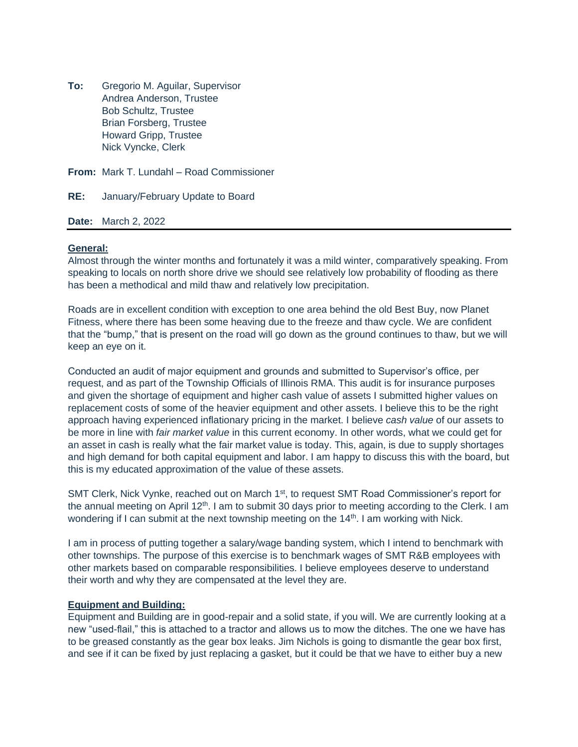**To:** Gregorio M. Aguilar, Supervisor Andrea Anderson, Trustee Bob Schultz, Trustee Brian Forsberg, Trustee Howard Gripp, Trustee Nick Vyncke, Clerk

**From:** Mark T. Lundahl – Road Commissioner

**RE:** January/February Update to Board

**Date:** March 2, 2022

## **General:**

Almost through the winter months and fortunately it was a mild winter, comparatively speaking. From speaking to locals on north shore drive we should see relatively low probability of flooding as there has been a methodical and mild thaw and relatively low precipitation.

Roads are in excellent condition with exception to one area behind the old Best Buy, now Planet Fitness, where there has been some heaving due to the freeze and thaw cycle. We are confident that the "bump," that is present on the road will go down as the ground continues to thaw, but we will keep an eye on it.

Conducted an audit of major equipment and grounds and submitted to Supervisor's office, per request, and as part of the Township Officials of Illinois RMA. This audit is for insurance purposes and given the shortage of equipment and higher cash value of assets I submitted higher values on replacement costs of some of the heavier equipment and other assets. I believe this to be the right approach having experienced inflationary pricing in the market. I believe *cash value* of our assets to be more in line with *fair market value* in this current economy. In other words, what we could get for an asset in cash is really what the fair market value is today. This, again, is due to supply shortages and high demand for both capital equipment and labor. I am happy to discuss this with the board, but this is my educated approximation of the value of these assets.

SMT Clerk, Nick Vynke, reached out on March 1<sup>st</sup>, to request SMT Road Commissioner's report for the annual meeting on April 12<sup>th</sup>. I am to submit 30 days prior to meeting according to the Clerk. I am wondering if I can submit at the next township meeting on the 14<sup>th</sup>. I am working with Nick.

I am in process of putting together a salary/wage banding system, which I intend to benchmark with other townships. The purpose of this exercise is to benchmark wages of SMT R&B employees with other markets based on comparable responsibilities. I believe employees deserve to understand their worth and why they are compensated at the level they are.

## **Equipment and Building:**

Equipment and Building are in good-repair and a solid state, if you will. We are currently looking at a new "used-flail," this is attached to a tractor and allows us to mow the ditches. The one we have has to be greased constantly as the gear box leaks. Jim Nichols is going to dismantle the gear box first, and see if it can be fixed by just replacing a gasket, but it could be that we have to either buy a new